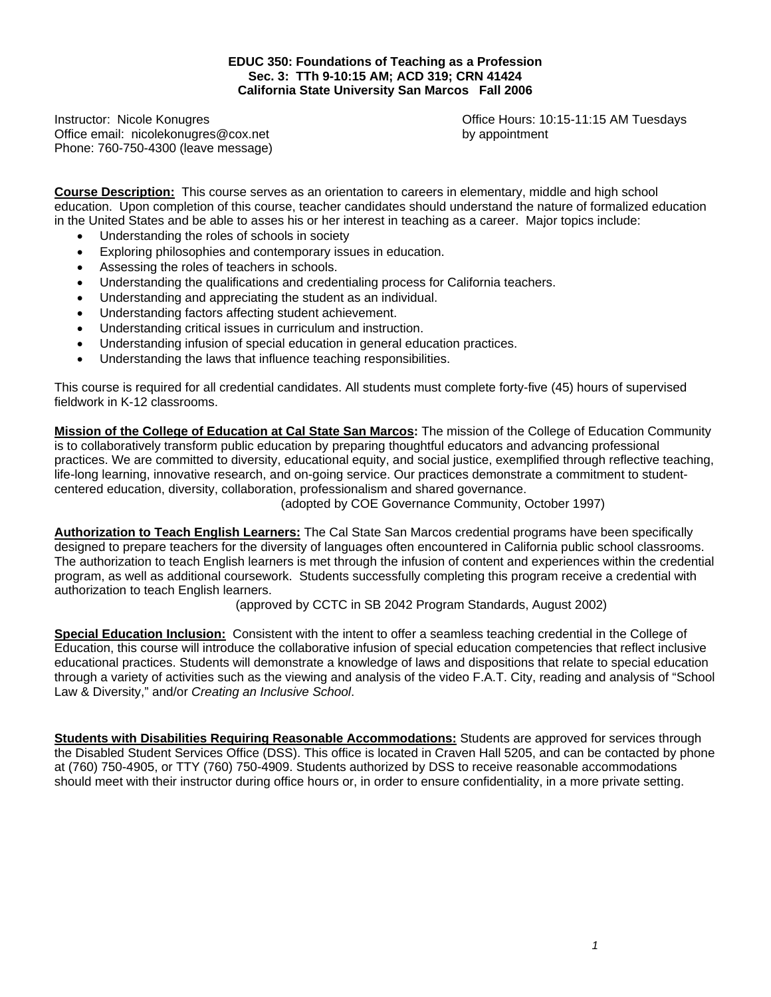#### **EDUC 350: Foundations of Teaching as a Profession Sec. 3: TTh 9-10:15 AM; ACD 319; CRN 41424 California State University San Marcos Fall 2006**

Office email: nicolekonugres@cox.net by appointment Phone: 760-750-4300 (leave message)

Instructor: Nicole Konugres Office Hours: 10:15-11:15 AM Tuesdays

**Course Description:** This course serves as an orientation to careers in elementary, middle and high school education. Upon completion of this course, teacher candidates should understand the nature of formalized education in the United States and be able to asses his or her interest in teaching as a career. Major topics include:

- Understanding the roles of schools in society
- Exploring philosophies and contemporary issues in education.
- Assessing the roles of teachers in schools.
- Understanding the qualifications and credentialing process for California teachers.
- Understanding and appreciating the student as an individual.
- Understanding factors affecting student achievement.
- Understanding critical issues in curriculum and instruction.
- Understanding infusion of special education in general education practices.
- Understanding the laws that influence teaching responsibilities.

This course is required for all credential candidates. All students must complete forty-five (45) hours of supervised fieldwork in K-12 classrooms.

**Mission of the College of Education at Cal State San Marcos:** The mission of the College of Education Community is to collaboratively transform public education by preparing thoughtful educators and advancing professional practices. We are committed to diversity, educational equity, and social justice, exemplified through reflective teaching, life-long learning, innovative research, and on-going service. Our practices demonstrate a commitment to studentcentered education, diversity, collaboration, professionalism and shared governance.

(adopted by COE Governance Community, October 1997)

**Authorization to Teach English Learners:** The Cal State San Marcos credential programs have been specifically designed to prepare teachers for the diversity of languages often encountered in California public school classrooms. The authorization to teach English learners is met through the infusion of content and experiences within the credential program, as well as additional coursework. Students successfully completing this program receive a credential with authorization to teach English learners.

(approved by CCTC in SB 2042 Program Standards, August 2002)

**Special Education Inclusion:** Consistent with the intent to offer a seamless teaching credential in the College of Education, this course will introduce the collaborative infusion of special education competencies that reflect inclusive educational practices. Students will demonstrate a knowledge of laws and dispositions that relate to special education through a variety of activities such as the viewing and analysis of the video F.A.T. City, reading and analysis of "School Law & Diversity," and/or *Creating an Inclusive School*.

**Students with Disabilities Requiring Reasonable Accommodations:** Students are approved for services through the Disabled Student Services Office (DSS). This office is located in Craven Hall 5205, and can be contacted by phone at (760) 750-4905, or TTY (760) 750-4909. Students authorized by DSS to receive reasonable accommodations should meet with their instructor during office hours or, in order to ensure confidentiality, in a more private setting.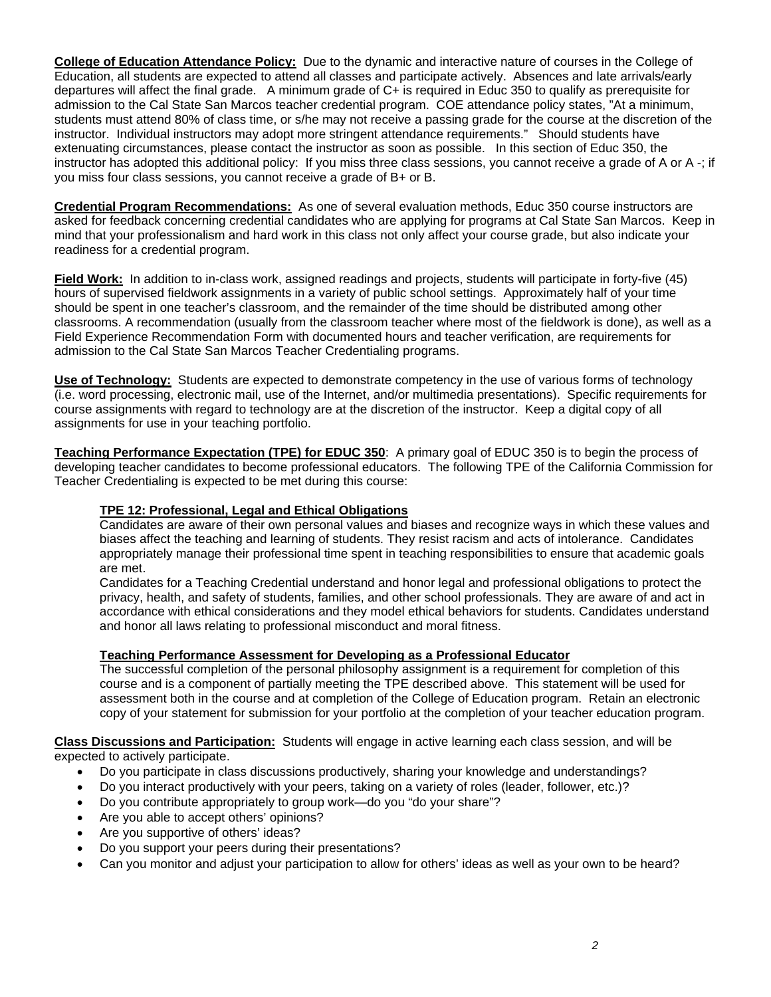**College of Education Attendance Policy:** Due to the dynamic and interactive nature of courses in the College of Education, all students are expected to attend all classes and participate actively. Absences and late arrivals/early departures will affect the final grade. A minimum grade of C+ is required in Educ 350 to qualify as prerequisite for admission to the Cal State San Marcos teacher credential program. COE attendance policy states, "At a minimum, students must attend 80% of class time, or s/he may not receive a passing grade for the course at the discretion of the instructor. Individual instructors may adopt more stringent attendance requirements." Should students have extenuating circumstances, please contact the instructor as soon as possible. In this section of Educ 350, the instructor has adopted this additional policy: If you miss three class sessions, you cannot receive a grade of A or A -; if you miss four class sessions, you cannot receive a grade of B+ or B.

**Credential Program Recommendations:** As one of several evaluation methods, Educ 350 course instructors are asked for feedback concerning credential candidates who are applying for programs at Cal State San Marcos. Keep in mind that your professionalism and hard work in this class not only affect your course grade, but also indicate your readiness for a credential program.

**Field Work:** In addition to in-class work, assigned readings and projects, students will participate in forty-five (45) hours of supervised fieldwork assignments in a variety of public school settings. Approximately half of your time should be spent in one teacher's classroom, and the remainder of the time should be distributed among other classrooms. A recommendation (usually from the classroom teacher where most of the fieldwork is done), as well as a Field Experience Recommendation Form with documented hours and teacher verification, are requirements for admission to the Cal State San Marcos Teacher Credentialing programs.

**Use of Technology:** Students are expected to demonstrate competency in the use of various forms of technology (i.e. word processing, electronic mail, use of the Internet, and/or multimedia presentations). Specific requirements for course assignments with regard to technology are at the discretion of the instructor. Keep a digital copy of all assignments for use in your teaching portfolio.

**Teaching Performance Expectation (TPE) for EDUC 350**: A primary goal of EDUC 350 is to begin the process of developing teacher candidates to become professional educators. The following TPE of the California Commission for Teacher Credentialing is expected to be met during this course:

#### **TPE 12: Professional, Legal and Ethical Obligations**

Candidates are aware of their own personal values and biases and recognize ways in which these values and biases affect the teaching and learning of students. They resist racism and acts of intolerance. Candidates appropriately manage their professional time spent in teaching responsibilities to ensure that academic goals are met.

Candidates for a Teaching Credential understand and honor legal and professional obligations to protect the privacy, health, and safety of students, families, and other school professionals. They are aware of and act in accordance with ethical considerations and they model ethical behaviors for students. Candidates understand and honor all laws relating to professional misconduct and moral fitness.

#### **Teaching Performance Assessment for Developing as a Professional Educator**

The successful completion of the personal philosophy assignment is a requirement for completion of this course and is a component of partially meeting the TPE described above. This statement will be used for assessment both in the course and at completion of the College of Education program. Retain an electronic copy of your statement for submission for your portfolio at the completion of your teacher education program.

**Class Discussions and Participation:** Students will engage in active learning each class session, and will be expected to actively participate.

- Do you participate in class discussions productively, sharing your knowledge and understandings?
- Do you interact productively with your peers, taking on a variety of roles (leader, follower, etc.)?
- Do you contribute appropriately to group work—do you "do your share"?
- Are you able to accept others' opinions?
- Are you supportive of others' ideas?
- Do you support your peers during their presentations?
- Can you monitor and adjust your participation to allow for others' ideas as well as your own to be heard?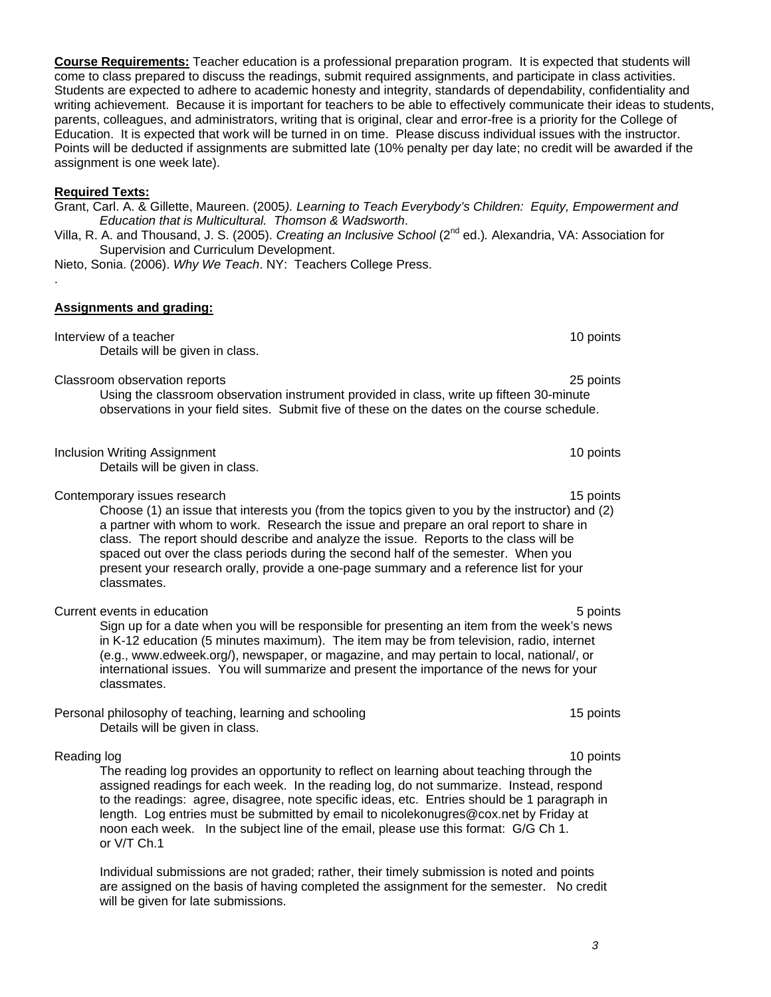**Course Requirements:** Teacher education is a professional preparation program. It is expected that students will come to class prepared to discuss the readings, submit required assignments, and participate in class activities. Students are expected to adhere to academic honesty and integrity, standards of dependability, confidentiality and writing achievement. Because it is important for teachers to be able to effectively communicate their ideas to students, parents, colleagues, and administrators, writing that is original, clear and error-free is a priority for the College of Education. It is expected that work will be turned in on time. Please discuss individual issues with the instructor. Points will be deducted if assignments are submitted late (10% penalty per day late; no credit will be awarded if the assignment is one week late).

#### **Required Texts:**

Grant, Carl. A. & Gillette, Maureen. (2005*). Learning to Teach Everybody's Children: Equity, Empowerment and Education that is Multicultural. Thomson & Wadsworth*.

Villa, R. A. and Thousand, J. S. (2005). *Creating an Inclusive School* (2nd ed.)*.* Alexandria, VA: Association for Supervision and Curriculum Development.

Nieto, Sonia. (2006). *Why We Teach*. NY: Teachers College Press. .

# **Assignments and grading:**

Interview of a teacher 10 points and the set of the set of the set of the set of the set of the set of the set of the set of the set of the set of the set of the set of the set of the set of the set of the set of the set o Details will be given in class. Classroom observation reports 25 points Using the classroom observation instrument provided in class, write up fifteen 30-minute observations in your field sites. Submit five of these on the dates on the course schedule.

Inclusion Writing Assignment 10 points 10 points and 10 points of the state of the state of the state of the state of the state of the state of the state of the state of the state of the state of the state of the state of Details will be given in class.

Contemporary issues research 15 points and the contemporary issues research 15 points and 15 points of the contemporary issues research 15 points and 15 points of the contemporary issues research 15 points and 15 points of

Choose (1) an issue that interests you (from the topics given to you by the instructor) and (2) a partner with whom to work. Research the issue and prepare an oral report to share in class. The report should describe and analyze the issue. Reports to the class will be spaced out over the class periods during the second half of the semester. When you present your research orally, provide a one-page summary and a reference list for your classmates.

Current events in education 5 points Sign up for a date when you will be responsible for presenting an item from the week's news in K-12 education (5 minutes maximum). The item may be from television, radio, internet (e.g., www.edweek.org/), newspaper, or magazine, and may pertain to local, national/, or international issues. You will summarize and present the importance of the news for your classmates.

Personal philosophy of teaching, learning and schooling 15 points 15 points Details will be given in class.

# Reading log 10 points and the state of the state of the state of the state of the state of the state of the state of the state of the state of the state of the state of the state of the state of the state of the state of t

The reading log provides an opportunity to reflect on learning about teaching through the assigned readings for each week. In the reading log, do not summarize. Instead, respond to the readings: agree, disagree, note specific ideas, etc. Entries should be 1 paragraph in length. Log entries must be submitted by email to nicolekonugres@cox.net by Friday at noon each week. In the subject line of the email, please use this format: G/G Ch 1. or V/T Ch.1

Individual submissions are not graded; rather, their timely submission is noted and points are assigned on the basis of having completed the assignment for the semester. No credit will be given for late submissions.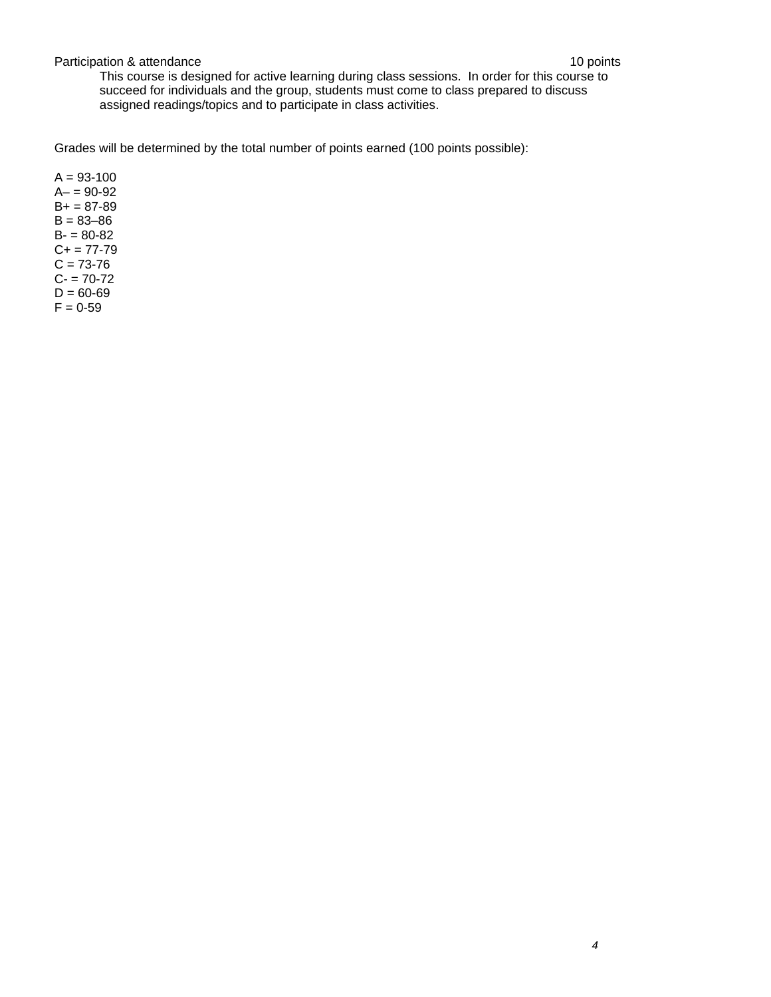#### Participation & attendance 10 points

This course is designed for active learning during class sessions. In order for this course to succeed for individuals and the group, students must come to class prepared to discuss assigned readings/topics and to participate in class activities.

Grades will be determined by the total number of points earned (100 points possible):

 $A = 93 - 100$  $A - 90 - 92$  $B+ = 87-89$  $B = 83 - 86$  $B - 80 - 82$  $C+= 77-79$  $C = 73-76$  $C - 70-72$  $D = 60 - 69$  $F = 0 - 59$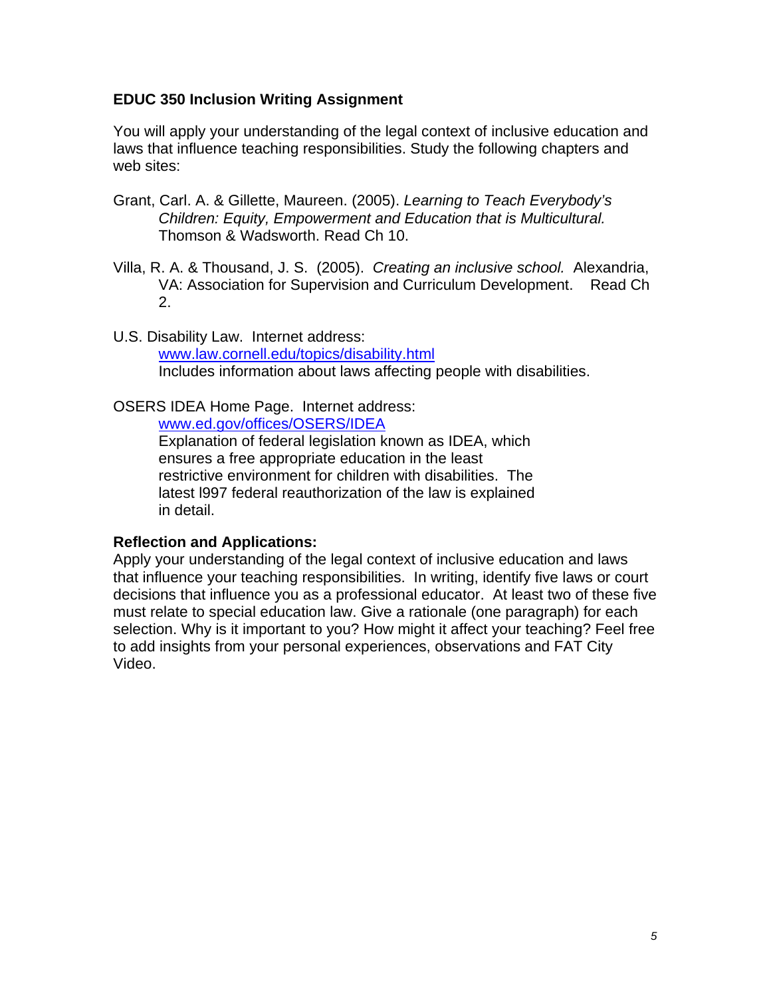# **EDUC 350 Inclusion Writing Assignment**

You will apply your understanding of the legal context of inclusive education and laws that influence teaching responsibilities. Study the following chapters and web sites:

- Grant, Carl. A. & Gillette, Maureen. (2005). *Learning to Teach Everybody's Children: Equity, Empowerment and Education that is Multicultural.* Thomson & Wadsworth. Read Ch 10.
- Villa, R. A. & Thousand, J. S. (2005). *Creating an inclusive school.* Alexandria, VA: Association for Supervision and Curriculum Development. Read Ch 2.
- U.S. Disability Law. Internet address: www.law.cornell.edu/topics/disability.html Includes information about laws affecting people with disabilities.

# OSERS IDEA Home Page. Internet address:

www.ed.gov/offices/OSERS/IDEA

Explanation of federal legislation known as IDEA, which ensures a free appropriate education in the least restrictive environment for children with disabilities. The latest l997 federal reauthorization of the law is explained in detail.

# **Reflection and Applications:**

Apply your understanding of the legal context of inclusive education and laws that influence your teaching responsibilities. In writing, identify five laws or court decisions that influence you as a professional educator. At least two of these five must relate to special education law. Give a rationale (one paragraph) for each selection. Why is it important to you? How might it affect your teaching? Feel free to add insights from your personal experiences, observations and FAT City Video.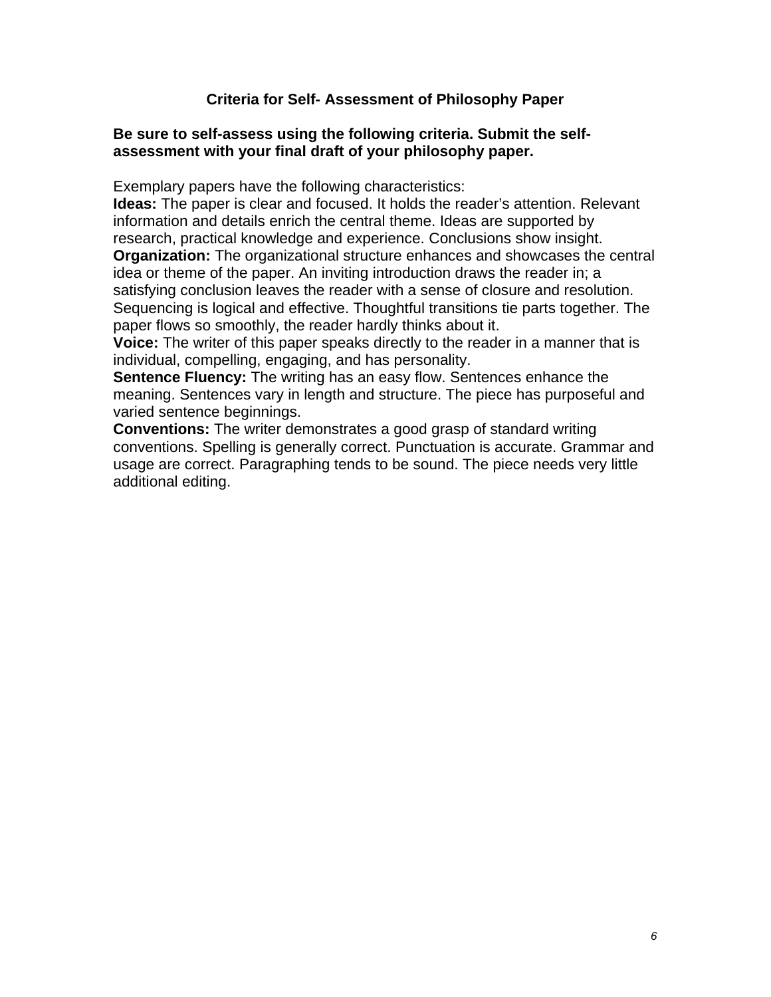# **Criteria for Self- Assessment of Philosophy Paper**

## **Be sure to self-assess using the following criteria. Submit the selfassessment with your final draft of your philosophy paper.**

Exemplary papers have the following characteristics:

**Ideas:** The paper is clear and focused. It holds the reader's attention. Relevant information and details enrich the central theme. Ideas are supported by research, practical knowledge and experience. Conclusions show insight. **Organization:** The organizational structure enhances and showcases the central idea or theme of the paper. An inviting introduction draws the reader in; a satisfying conclusion leaves the reader with a sense of closure and resolution. Sequencing is logical and effective. Thoughtful transitions tie parts together. The paper flows so smoothly, the reader hardly thinks about it.

**Voice:** The writer of this paper speaks directly to the reader in a manner that is individual, compelling, engaging, and has personality.

**Sentence Fluency:** The writing has an easy flow. Sentences enhance the meaning. Sentences vary in length and structure. The piece has purposeful and varied sentence beginnings.

**Conventions:** The writer demonstrates a good grasp of standard writing conventions. Spelling is generally correct. Punctuation is accurate. Grammar and usage are correct. Paragraphing tends to be sound. The piece needs very little additional editing.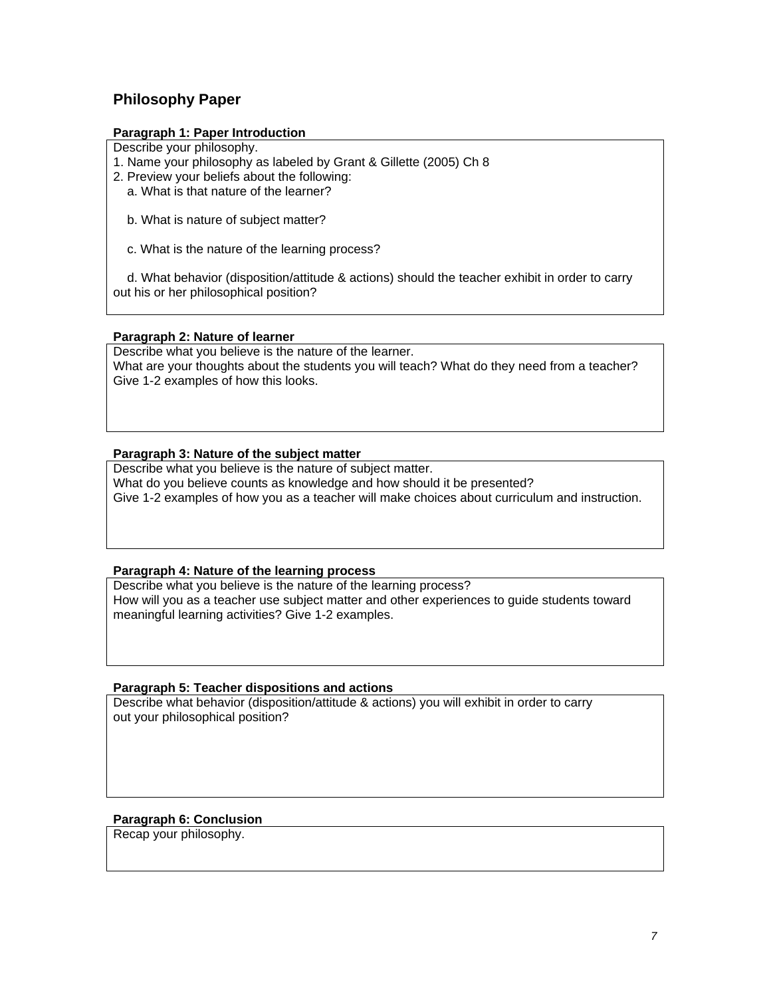# **Philosophy Paper**

#### **Paragraph 1: Paper Introduction**

Describe your philosophy.

1. Name your philosophy as labeled by Grant & Gillette (2005) Ch 8

- 2. Preview your beliefs about the following:
	- a. What is that nature of the learner?
	- b. What is nature of subject matter?
	- c. What is the nature of the learning process?

 d. What behavior (disposition/attitude & actions) should the teacher exhibit in order to carry out his or her philosophical position?

#### **Paragraph 2: Nature of learner**

Describe what you believe is the nature of the learner. What are your thoughts about the students you will teach? What do they need from a teacher? Give 1-2 examples of how this looks.

#### **Paragraph 3: Nature of the subject matter**

Describe what you believe is the nature of subject matter. What do you believe counts as knowledge and how should it be presented? Give 1-2 examples of how you as a teacher will make choices about curriculum and instruction.

#### **Paragraph 4: Nature of the learning process**

Describe what you believe is the nature of the learning process? How will you as a teacher use subject matter and other experiences to guide students toward meaningful learning activities? Give 1-2 examples.

#### **Paragraph 5: Teacher dispositions and actions**

Describe what behavior (disposition/attitude & actions) you will exhibit in order to carry out your philosophical position?

#### **Paragraph 6: Conclusion**

Recap your philosophy.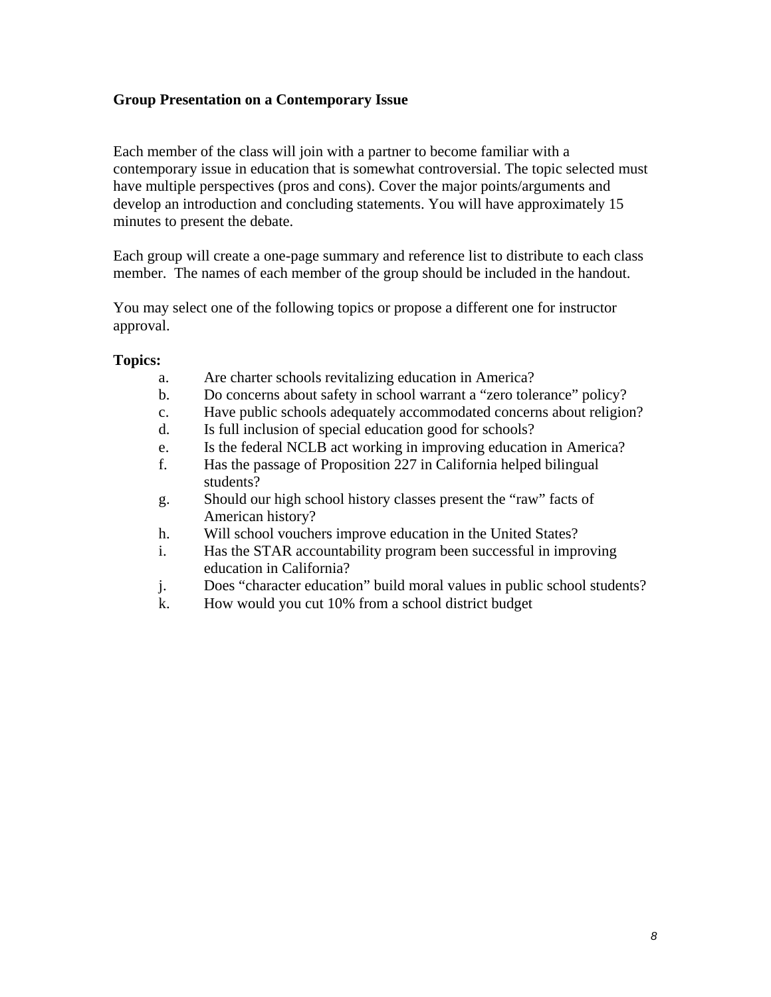# **Group Presentation on a Contemporary Issue**

Each member of the class will join with a partner to become familiar with a contemporary issue in education that is somewhat controversial. The topic selected must have multiple perspectives (pros and cons). Cover the major points/arguments and develop an introduction and concluding statements. You will have approximately 15 minutes to present the debate.

Each group will create a one-page summary and reference list to distribute to each class member. The names of each member of the group should be included in the handout.

You may select one of the following topics or propose a different one for instructor approval.

# **Topics:**

- a. Are charter schools revitalizing education in America?
- b. Do concerns about safety in school warrant a "zero tolerance" policy?
- c. Have public schools adequately accommodated concerns about religion?
- d. Is full inclusion of special education good for schools?
- e. Is the federal NCLB act working in improving education in America?
- f. Has the passage of Proposition 227 in California helped bilingual students?
- g. Should our high school history classes present the "raw" facts of American history?
- h. Will school vouchers improve education in the United States?
- i. Has the STAR accountability program been successful in improving education in California?
- j. Does "character education" build moral values in public school students?
- k. How would you cut 10% from a school district budget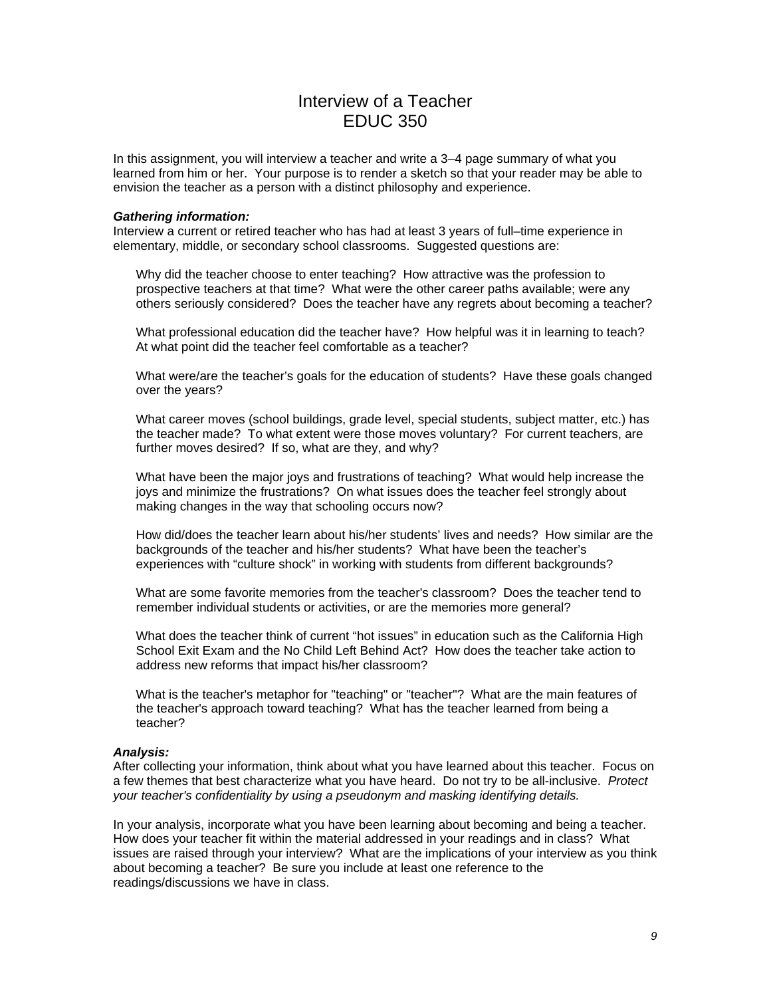# Interview of a Teacher EDUC 350

In this assignment, you will interview a teacher and write a 3–4 page summary of what you learned from him or her. Your purpose is to render a sketch so that your reader may be able to envision the teacher as a person with a distinct philosophy and experience.

#### *Gathering information:*

Interview a current or retired teacher who has had at least 3 years of full–time experience in elementary, middle, or secondary school classrooms. Suggested questions are:

Why did the teacher choose to enter teaching? How attractive was the profession to prospective teachers at that time? What were the other career paths available; were any others seriously considered? Does the teacher have any regrets about becoming a teacher?

What professional education did the teacher have? How helpful was it in learning to teach? At what point did the teacher feel comfortable as a teacher?

What were/are the teacher's goals for the education of students? Have these goals changed over the years?

What career moves (school buildings, grade level, special students, subject matter, etc.) has the teacher made? To what extent were those moves voluntary? For current teachers, are further moves desired? If so, what are they, and why?

What have been the major joys and frustrations of teaching? What would help increase the joys and minimize the frustrations? On what issues does the teacher feel strongly about making changes in the way that schooling occurs now?

How did/does the teacher learn about his/her students' lives and needs? How similar are the backgrounds of the teacher and his/her students? What have been the teacher's experiences with "culture shock" in working with students from different backgrounds?

What are some favorite memories from the teacher's classroom? Does the teacher tend to remember individual students or activities, or are the memories more general?

What does the teacher think of current "hot issues" in education such as the California High School Exit Exam and the No Child Left Behind Act? How does the teacher take action to address new reforms that impact his/her classroom?

What is the teacher's metaphor for "teaching" or "teacher"? What are the main features of the teacher's approach toward teaching? What has the teacher learned from being a teacher?

#### *Analysis:*

After collecting your information, think about what you have learned about this teacher. Focus on a few themes that best characterize what you have heard. Do not try to be all-inclusive. *Protect your teacher's confidentiality by using a pseudonym and masking identifying details.* 

In your analysis, incorporate what you have been learning about becoming and being a teacher. How does your teacher fit within the material addressed in your readings and in class? What issues are raised through your interview? What are the implications of your interview as you think about becoming a teacher? Be sure you include at least one reference to the readings/discussions we have in class.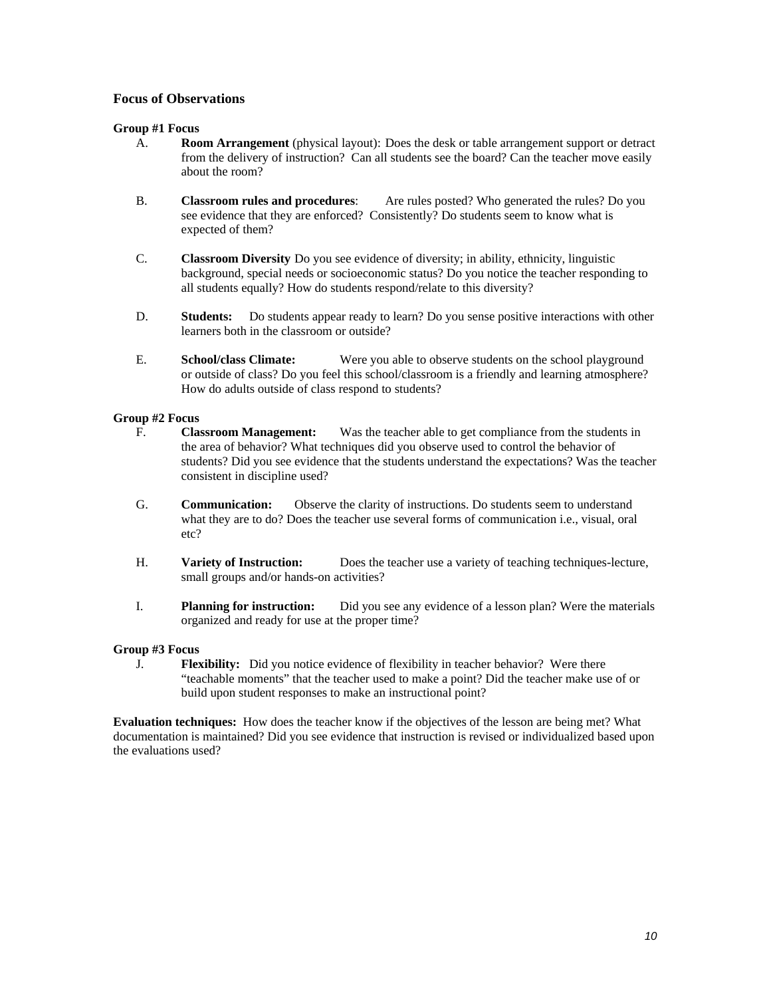#### **Focus of Observations**

#### **Group #1 Focus**

- A. **Room Arrangement** (physical layout): Does the desk or table arrangement support or detract from the delivery of instruction? Can all students see the board? Can the teacher move easily about the room?
- B. **Classroom rules and procedures**: Are rules posted? Who generated the rules? Do you see evidence that they are enforced? Consistently? Do students seem to know what is expected of them?
- C. **Classroom Diversity** Do you see evidence of diversity; in ability, ethnicity, linguistic background, special needs or socioeconomic status? Do you notice the teacher responding to all students equally? How do students respond/relate to this diversity?
- D. **Students:** Do students appear ready to learn? Do you sense positive interactions with other learners both in the classroom or outside?
- E. **School/class Climate:** Were you able to observe students on the school playground or outside of class? Do you feel this school/classroom is a friendly and learning atmosphere? How do adults outside of class respond to students?

#### **Group #2 Focus**

- F. **Classroom Management:** Was the teacher able to get compliance from the students in the area of behavior? What techniques did you observe used to control the behavior of students? Did you see evidence that the students understand the expectations? Was the teacher consistent in discipline used?
- G. **Communication:** Observe the clarity of instructions. Do students seem to understand what they are to do? Does the teacher use several forms of communication i.e., visual, oral etc?
- H. **Variety of Instruction:** Does the teacher use a variety of teaching techniques-lecture, small groups and/or hands-on activities?
- I. **Planning for instruction:** Did you see any evidence of a lesson plan? Were the materials organized and ready for use at the proper time?

#### **Group #3 Focus**

J. **Flexibility:** Did you notice evidence of flexibility in teacher behavior? Were there "teachable moments" that the teacher used to make a point? Did the teacher make use of or build upon student responses to make an instructional point?

**Evaluation techniques:** How does the teacher know if the objectives of the lesson are being met? What documentation is maintained? Did you see evidence that instruction is revised or individualized based upon the evaluations used?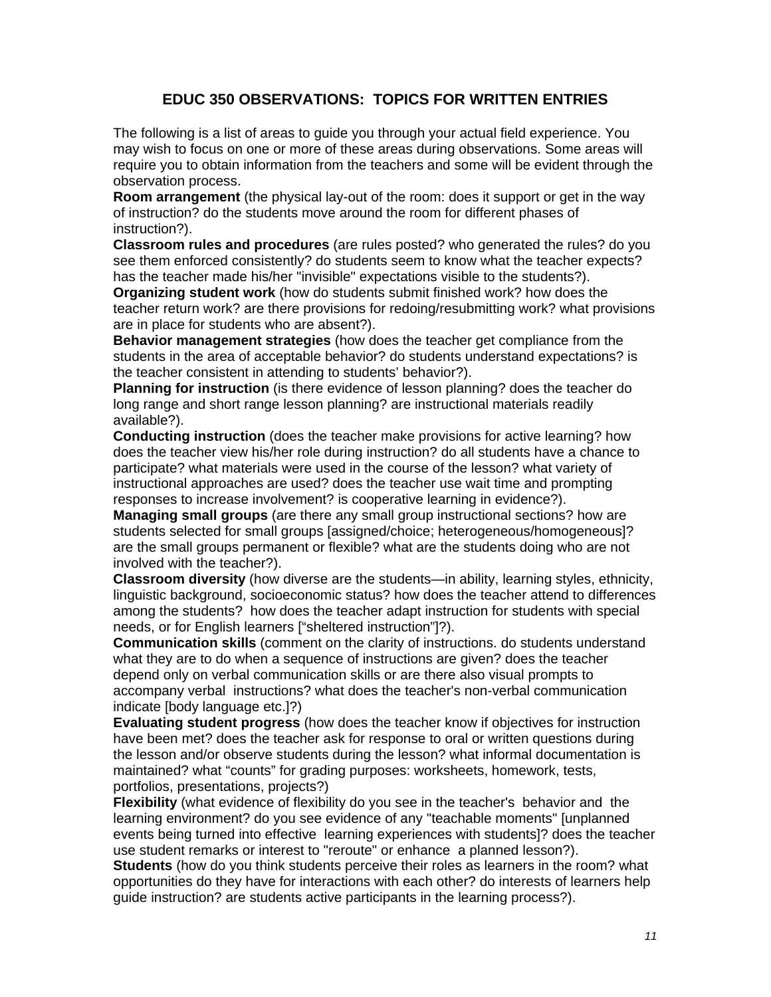# **EDUC 350 OBSERVATIONS: TOPICS FOR WRITTEN ENTRIES**

The following is a list of areas to guide you through your actual field experience. You may wish to focus on one or more of these areas during observations. Some areas will require you to obtain information from the teachers and some will be evident through the observation process.

**Room arrangement** (the physical lay-out of the room: does it support or get in the way of instruction? do the students move around the room for different phases of instruction?).

**Classroom rules and procedures** (are rules posted? who generated the rules? do you see them enforced consistently? do students seem to know what the teacher expects? has the teacher made his/her "invisible" expectations visible to the students?).

**Organizing student work** (how do students submit finished work? how does the teacher return work? are there provisions for redoing/resubmitting work? what provisions are in place for students who are absent?).

**Behavior management strategies** (how does the teacher get compliance from the students in the area of acceptable behavior? do students understand expectations? is the teacher consistent in attending to students' behavior?).

**Planning for instruction** (is there evidence of lesson planning? does the teacher do long range and short range lesson planning? are instructional materials readily available?).

**Conducting instruction** (does the teacher make provisions for active learning? how does the teacher view his/her role during instruction? do all students have a chance to participate? what materials were used in the course of the lesson? what variety of instructional approaches are used? does the teacher use wait time and prompting responses to increase involvement? is cooperative learning in evidence?).

**Managing small groups** (are there any small group instructional sections? how are students selected for small groups [assigned/choice; heterogeneous/homogeneous]? are the small groups permanent or flexible? what are the students doing who are not involved with the teacher?).

**Classroom diversity** (how diverse are the students—in ability, learning styles, ethnicity, linguistic background, socioeconomic status? how does the teacher attend to differences among the students? how does the teacher adapt instruction for students with special needs, or for English learners ["sheltered instruction"]?).

**Communication skills** (comment on the clarity of instructions. do students understand what they are to do when a sequence of instructions are given? does the teacher depend only on verbal communication skills or are there also visual prompts to accompany verbal instructions? what does the teacher's non-verbal communication indicate [body language etc.]?)

**Evaluating student progress** (how does the teacher know if objectives for instruction have been met? does the teacher ask for response to oral or written questions during the lesson and/or observe students during the lesson? what informal documentation is maintained? what "counts" for grading purposes: worksheets, homework, tests, portfolios, presentations, projects?)

**Flexibility** (what evidence of flexibility do you see in the teacher's behavior and the learning environment? do you see evidence of any "teachable moments" [unplanned events being turned into effective learning experiences with students]? does the teacher use student remarks or interest to "reroute" or enhance a planned lesson?).

**Students** (how do you think students perceive their roles as learners in the room? what opportunities do they have for interactions with each other? do interests of learners help guide instruction? are students active participants in the learning process?).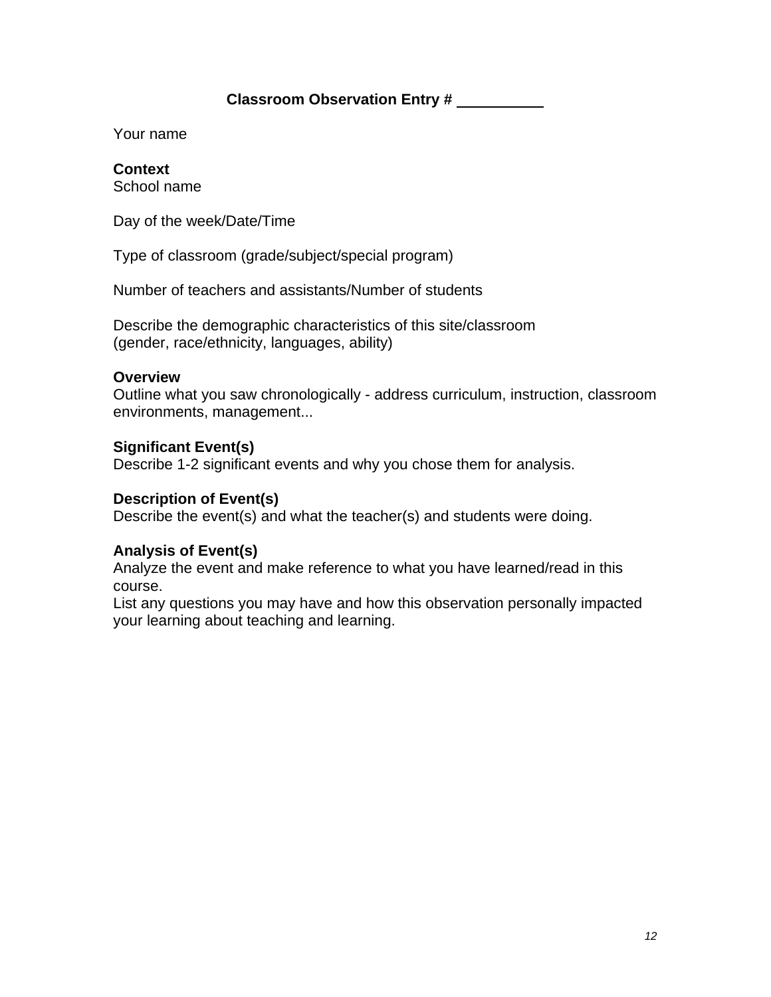# **Classroom Observation Entry #**

Your name

# **Context**

School name

Day of the week/Date/Time

Type of classroom (grade/subject/special program)

Number of teachers and assistants/Number of students

Describe the demographic characteristics of this site/classroom (gender, race/ethnicity, languages, ability)

# **Overview**

Outline what you saw chronologically - address curriculum, instruction, classroom environments, management...

# **Significant Event(s)**

Describe 1-2 significant events and why you chose them for analysis.

# **Description of Event(s)**

Describe the event(s) and what the teacher(s) and students were doing.

# **Analysis of Event(s)**

Analyze the event and make reference to what you have learned/read in this course.

List any questions you may have and how this observation personally impacted your learning about teaching and learning.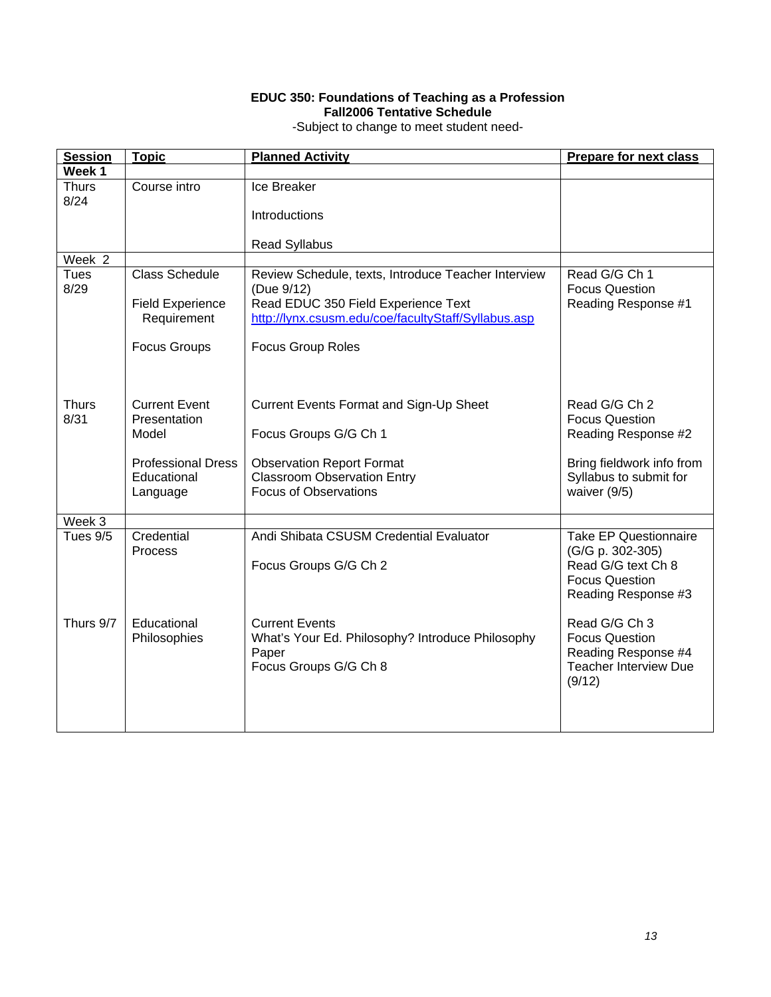#### **EDUC 350: Foundations of Teaching as a Profession Fall2006 Tentative Schedule**

-Subject to change to meet student need-

| <b>Session</b>       | <b>Topic</b>                           | <b>Planned Activity</b>                                                                    | <b>Prepare for next class</b>               |
|----------------------|----------------------------------------|--------------------------------------------------------------------------------------------|---------------------------------------------|
| Week 1               |                                        |                                                                                            |                                             |
| <b>Thurs</b><br>8/24 | Course intro                           | Ice Breaker                                                                                |                                             |
|                      |                                        | Introductions                                                                              |                                             |
|                      |                                        | <b>Read Syllabus</b>                                                                       |                                             |
| Week 2               |                                        |                                                                                            |                                             |
| <b>Tues</b><br>8/29  | <b>Class Schedule</b>                  | Review Schedule, texts, Introduce Teacher Interview<br>(Due 9/12)                          | Read G/G Ch 1<br><b>Focus Question</b>      |
|                      | <b>Field Experience</b><br>Requirement | Read EDUC 350 Field Experience Text<br>http://lynx.csusm.edu/coe/facultyStaff/Syllabus.asp | Reading Response #1                         |
|                      | <b>Focus Groups</b>                    | <b>Focus Group Roles</b>                                                                   |                                             |
| <b>Thurs</b>         | <b>Current Event</b>                   | <b>Current Events Format and Sign-Up Sheet</b>                                             | Read G/G Ch 2                               |
| 8/31                 | Presentation                           |                                                                                            | <b>Focus Question</b>                       |
|                      | Model                                  | Focus Groups G/G Ch 1                                                                      | Reading Response #2                         |
|                      | <b>Professional Dress</b>              | <b>Observation Report Format</b>                                                           | Bring fieldwork info from                   |
|                      | Educational                            | <b>Classroom Observation Entry</b>                                                         | Syllabus to submit for                      |
|                      | Language                               | <b>Focus of Observations</b>                                                               | waiver (9/5)                                |
| Week 3               |                                        |                                                                                            |                                             |
| Tues 9/5             | Credential                             | Andi Shibata CSUSM Credential Evaluator                                                    | <b>Take EP Questionnaire</b>                |
|                      | <b>Process</b>                         |                                                                                            | (G/G p. 302-305)                            |
|                      |                                        | Focus Groups G/G Ch 2                                                                      | Read G/G text Ch 8<br><b>Focus Question</b> |
|                      |                                        |                                                                                            | Reading Response #3                         |
|                      |                                        |                                                                                            |                                             |
| Thurs 9/7            | Educational                            | <b>Current Events</b>                                                                      | Read G/G Ch 3                               |
|                      | Philosophies                           | What's Your Ed. Philosophy? Introduce Philosophy                                           | <b>Focus Question</b>                       |
|                      |                                        | Paper                                                                                      | Reading Response #4                         |
|                      |                                        | Focus Groups G/G Ch 8                                                                      | <b>Teacher Interview Due</b><br>(9/12)      |
|                      |                                        |                                                                                            |                                             |
|                      |                                        |                                                                                            |                                             |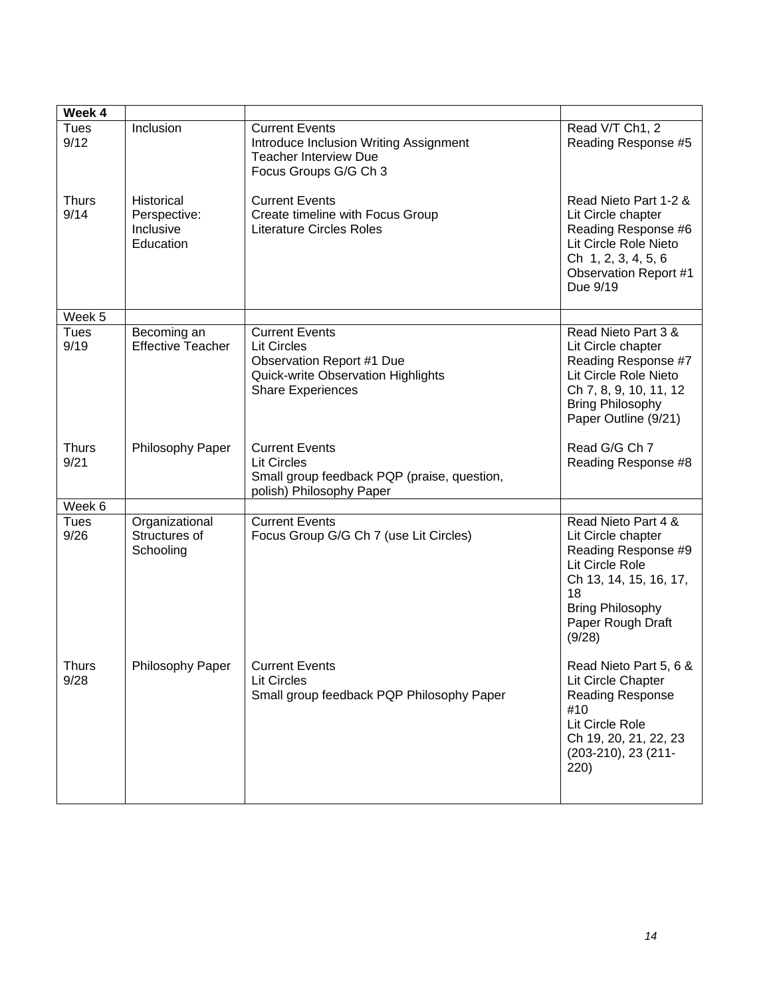| Week 4               |                                                      |                                                                                                                                            |                                                                                                                                                                               |
|----------------------|------------------------------------------------------|--------------------------------------------------------------------------------------------------------------------------------------------|-------------------------------------------------------------------------------------------------------------------------------------------------------------------------------|
| <b>Tues</b><br>9/12  | Inclusion                                            | <b>Current Events</b><br>Introduce Inclusion Writing Assignment<br><b>Teacher Interview Due</b><br>Focus Groups G/G Ch 3                   | Read V/T Ch1, 2<br>Reading Response #5                                                                                                                                        |
| <b>Thurs</b><br>9/14 | Historical<br>Perspective:<br>Inclusive<br>Education | <b>Current Events</b><br>Create timeline with Focus Group<br><b>Literature Circles Roles</b>                                               | Read Nieto Part 1-2 &<br>Lit Circle chapter<br>Reading Response #6<br>Lit Circle Role Nieto<br>Ch 1, 2, 3, 4, 5, 6<br><b>Observation Report #1</b><br>Due 9/19                |
| Week 5               |                                                      |                                                                                                                                            |                                                                                                                                                                               |
| <b>Tues</b><br>9/19  | Becoming an<br><b>Effective Teacher</b>              | <b>Current Events</b><br><b>Lit Circles</b><br>Observation Report #1 Due<br>Quick-write Observation Highlights<br><b>Share Experiences</b> | Read Nieto Part 3 &<br>Lit Circle chapter<br>Reading Response #7<br>Lit Circle Role Nieto<br>Ch 7, 8, 9, 10, 11, 12<br><b>Bring Philosophy</b><br>Paper Outline (9/21)        |
| <b>Thurs</b><br>9/21 | Philosophy Paper                                     | <b>Current Events</b><br><b>Lit Circles</b><br>Small group feedback PQP (praise, question,<br>polish) Philosophy Paper                     | Read G/G Ch 7<br>Reading Response #8                                                                                                                                          |
| Week 6               |                                                      |                                                                                                                                            |                                                                                                                                                                               |
| <b>Tues</b><br>9/26  | Organizational<br>Structures of<br>Schooling         | <b>Current Events</b><br>Focus Group G/G Ch 7 (use Lit Circles)                                                                            | Read Nieto Part 4 &<br>Lit Circle chapter<br>Reading Response #9<br>Lit Circle Role<br>Ch 13, 14, 15, 16, 17,<br>18<br><b>Bring Philosophy</b><br>Paper Rough Draft<br>(9/28) |
| <b>Thurs</b><br>9/28 | Philosophy Paper                                     | <b>Current Events</b><br>Lit Circles<br>Small group feedback PQP Philosophy Paper                                                          | Read Nieto Part 5, 6 &<br>Lit Circle Chapter<br>Reading Response<br>#10<br>Lit Circle Role<br>Ch 19, 20, 21, 22, 23<br>$(203-210)$ , 23 $(211-$<br>220)                       |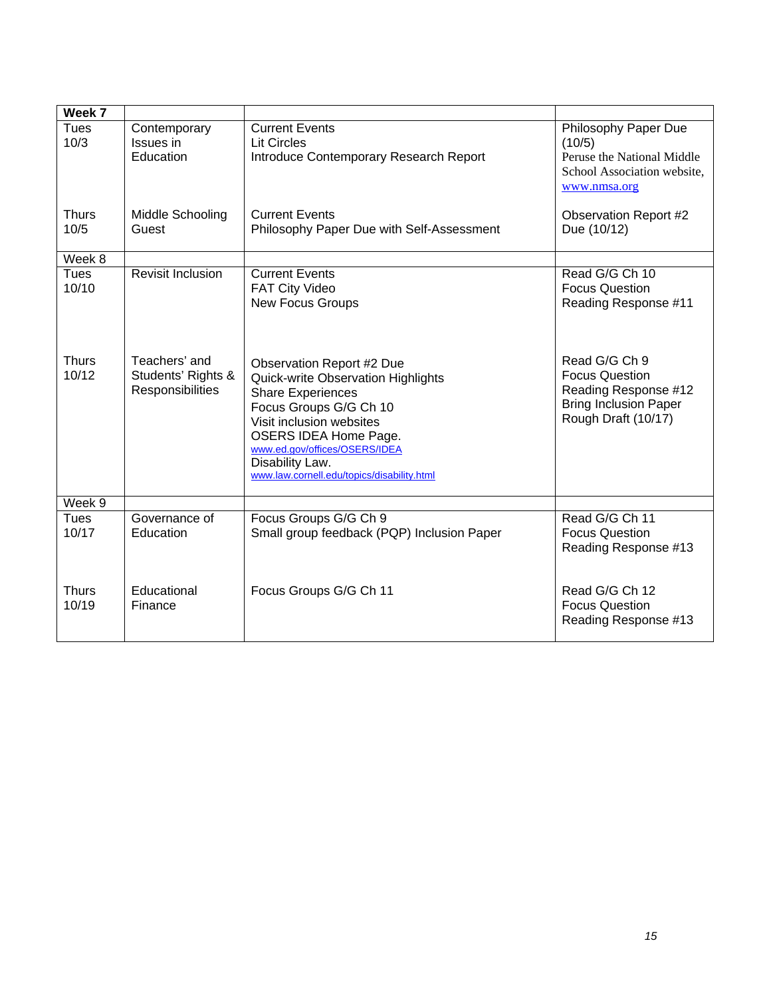| Week 7                |                                                         |                                                                                                                                                                                                                                                                                            |                                                                                                                       |
|-----------------------|---------------------------------------------------------|--------------------------------------------------------------------------------------------------------------------------------------------------------------------------------------------------------------------------------------------------------------------------------------------|-----------------------------------------------------------------------------------------------------------------------|
| Tues<br>10/3          | Contemporary<br>Issues in<br>Education                  | <b>Current Events</b><br><b>Lit Circles</b><br>Introduce Contemporary Research Report                                                                                                                                                                                                      | Philosophy Paper Due<br>(10/5)<br>Peruse the National Middle<br>School Association website,<br>www.nmsa.org           |
| <b>Thurs</b><br>10/5  | Middle Schooling<br>Guest                               | <b>Current Events</b><br>Philosophy Paper Due with Self-Assessment                                                                                                                                                                                                                         | <b>Observation Report #2</b><br>Due (10/12)                                                                           |
| Week 8                |                                                         |                                                                                                                                                                                                                                                                                            |                                                                                                                       |
| <b>Tues</b><br>10/10  | <b>Revisit Inclusion</b>                                | <b>Current Events</b><br><b>FAT City Video</b><br><b>New Focus Groups</b>                                                                                                                                                                                                                  | Read G/G Ch 10<br><b>Focus Question</b><br>Reading Response #11                                                       |
| <b>Thurs</b><br>10/12 | Teachers' and<br>Students' Rights &<br>Responsibilities | <b>Observation Report #2 Due</b><br>Quick-write Observation Highlights<br><b>Share Experiences</b><br>Focus Groups G/G Ch 10<br>Visit inclusion websites<br><b>OSERS IDEA Home Page.</b><br>www.ed.gov/offices/OSERS/IDEA<br>Disability Law.<br>www.law.cornell.edu/topics/disability.html | Read G/G Ch 9<br><b>Focus Question</b><br>Reading Response #12<br><b>Bring Inclusion Paper</b><br>Rough Draft (10/17) |
| Week 9                |                                                         |                                                                                                                                                                                                                                                                                            |                                                                                                                       |
| <b>Tues</b><br>10/17  | Governance of<br>Education                              | Focus Groups G/G Ch 9<br>Small group feedback (PQP) Inclusion Paper                                                                                                                                                                                                                        | Read G/G Ch 11<br><b>Focus Question</b><br>Reading Response #13                                                       |
| <b>Thurs</b><br>10/19 | Educational<br>Finance                                  | Focus Groups G/G Ch 11                                                                                                                                                                                                                                                                     | Read G/G Ch 12<br><b>Focus Question</b><br>Reading Response #13                                                       |